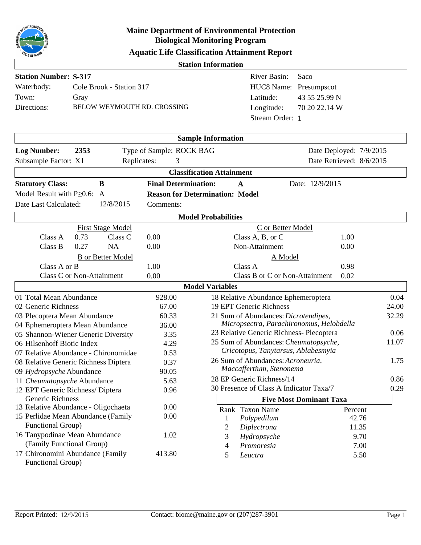

|  | <b>Aquatic Life Classification Attainment Report</b> |  |  |
|--|------------------------------------------------------|--|--|
|--|------------------------------------------------------|--|--|

| <i><b>ALE OF WWW.</b></i>                                       |                             |                                                                                       |
|-----------------------------------------------------------------|-----------------------------|---------------------------------------------------------------------------------------|
|                                                                 |                             | <b>Station Information</b>                                                            |
| <b>Station Number: S-317</b>                                    |                             | River Basin:<br>Saco                                                                  |
| Waterbody:<br>Cole Brook - Station 317                          |                             | HUC8 Name: Presumpscot                                                                |
| Town:<br>Gray                                                   |                             | 43 55 25.99 N<br>Latitude:                                                            |
| Directions:<br>BELOW WEYMOUTH RD. CROSSING                      |                             | 70 20 22.14 W<br>Longitude:                                                           |
|                                                                 |                             | Stream Order: 1                                                                       |
|                                                                 |                             |                                                                                       |
|                                                                 |                             | <b>Sample Information</b>                                                             |
| 2353<br><b>Log Number:</b>                                      | Type of Sample: ROCK BAG    | Date Deployed: 7/9/2015                                                               |
| Subsample Factor: X1                                            | Replicates:<br>3            | Date Retrieved: 8/6/2015                                                              |
|                                                                 |                             | <b>Classification Attainment</b>                                                      |
| <b>Statutory Class:</b><br>B                                    | <b>Final Determination:</b> | Date: 12/9/2015<br>$\mathbf{A}$                                                       |
| Model Result with $P \geq 0.6$ : A                              |                             | <b>Reason for Determination: Model</b>                                                |
| 12/8/2015<br>Date Last Calculated:                              | Comments:                   |                                                                                       |
|                                                                 |                             | <b>Model Probabilities</b>                                                            |
| <b>First Stage Model</b>                                        |                             | C or Better Model                                                                     |
| Class C<br>Class A<br>0.73                                      | 0.00                        | Class A, B, or C<br>1.00                                                              |
| Class B<br>0.27<br><b>NA</b>                                    | 0.00                        | Non-Attainment<br>0.00                                                                |
| <b>B</b> or Better Model                                        |                             | A Model                                                                               |
| Class A or B                                                    | 1.00                        | Class A<br>0.98                                                                       |
| Class C or Non-Attainment                                       | 0.00                        | Class B or C or Non-Attainment<br>0.02                                                |
|                                                                 |                             | <b>Model Variables</b>                                                                |
| 01 Total Mean Abundance                                         | 928.00                      | 18 Relative Abundance Ephemeroptera<br>0.04                                           |
| 02 Generic Richness                                             | 67.00                       | 19 EPT Generic Richness<br>24.00                                                      |
| 03 Plecoptera Mean Abundance                                    | 60.33                       | 21 Sum of Abundances: Dicrotendipes,<br>32.29                                         |
| 04 Ephemeroptera Mean Abundance                                 | 36.00                       | Micropsectra, Parachironomus, Helobdella                                              |
| 05 Shannon-Wiener Generic Diversity                             | 3.35                        | 23 Relative Generic Richness- Plecoptera<br>0.06                                      |
| 06 Hilsenhoff Biotic Index                                      | 4.29                        | 25 Sum of Abundances: Cheumatopsyche,<br>11.07<br>Cricotopus, Tanytarsus, Ablabesmyia |
| 07 Relative Abundance - Chironomidae                            | 0.53                        | 26 Sum of Abundances: Acroneuria,<br>1.75                                             |
| 08 Relative Generic Richness Diptera                            | 0.37                        | Maccaffertium, Stenonema                                                              |
| 09 Hydropsyche Abundance                                        | 90.05<br>5.63               | 28 EP Generic Richness/14<br>0.86                                                     |
| 11 Cheumatopsyche Abundance<br>12 EPT Generic Richness/ Diptera | 0.96                        | 30 Presence of Class A Indicator Taxa/7<br>0.29                                       |
| Generic Richness                                                |                             | <b>Five Most Dominant Taxa</b>                                                        |
| 13 Relative Abundance - Oligochaeta                             | 0.00                        | Rank Taxon Name<br>Percent                                                            |
| 15 Perlidae Mean Abundance (Family                              | 0.00                        | 42.76<br>Polypedilum                                                                  |
| Functional Group)                                               |                             | Diplectrona<br>11.35<br>2                                                             |
| 16 Tanypodinae Mean Abundance                                   | 1.02                        | Hydropsyche<br>9.70<br>3                                                              |
| (Family Functional Group)                                       |                             | Promoresia<br>7.00<br>4                                                               |
| 17 Chironomini Abundance (Family<br>Functional Group)           | 413.80                      | 5.50<br>5<br>Leuctra                                                                  |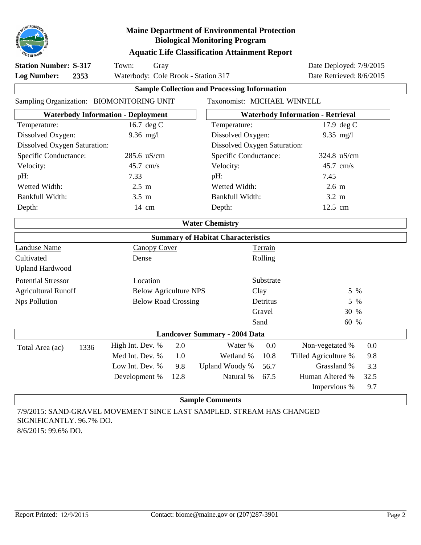

|  | <b>Aquatic Life Classification Attainment Report</b> |  |  |
|--|------------------------------------------------------|--|--|
|--|------------------------------------------------------|--|--|

| <b>Station Number: S-317</b><br><b>Log Number:</b>                           | Town:<br>Gray<br>Waterbody: Cole Brook - Station 317 |                                                                       |      |                                                     | Date Deployed: 7/9/2015<br>Date Retrieved: 8/6/2015 |                                          |      |  |  |
|------------------------------------------------------------------------------|------------------------------------------------------|-----------------------------------------------------------------------|------|-----------------------------------------------------|-----------------------------------------------------|------------------------------------------|------|--|--|
|                                                                              | 2353                                                 |                                                                       |      | <b>Sample Collection and Processing Information</b> |                                                     |                                          |      |  |  |
|                                                                              |                                                      | Sampling Organization: BIOMONITORING UNIT                             |      | Taxonomist: MICHAEL WINNELL                         |                                                     |                                          |      |  |  |
|                                                                              |                                                      | <b>Waterbody Information - Deployment</b>                             |      |                                                     |                                                     | <b>Waterbody Information - Retrieval</b> |      |  |  |
| Temperature:                                                                 |                                                      | 16.7 deg C                                                            |      | Temperature:                                        |                                                     | 17.9 deg C                               |      |  |  |
| Dissolved Oxygen:                                                            |                                                      | $9.36$ mg/l                                                           |      | Dissolved Oxygen:                                   |                                                     | 9.35 $mg/l$                              |      |  |  |
| Dissolved Oxygen Saturation:                                                 |                                                      |                                                                       |      | Dissolved Oxygen Saturation:                        |                                                     |                                          |      |  |  |
| Specific Conductance:<br>285.6 uS/cm<br>Specific Conductance:<br>324.8 uS/cm |                                                      |                                                                       |      |                                                     |                                                     |                                          |      |  |  |
| Velocity:                                                                    |                                                      | 45.7 cm/s                                                             |      | Velocity:                                           |                                                     | 45.7 cm/s                                |      |  |  |
| pH:                                                                          |                                                      | 7.33                                                                  |      | pH:                                                 |                                                     | 7.45                                     |      |  |  |
| Wetted Width:                                                                |                                                      | $2.5 \text{ m}$                                                       |      | Wetted Width:                                       |                                                     | $2.6 \text{ m}$                          |      |  |  |
| Bankfull Width:                                                              |                                                      | $3.5 \text{ m}$                                                       |      | Bankfull Width:                                     |                                                     | $3.2 \text{ m}$                          |      |  |  |
| Depth:                                                                       |                                                      | 14 cm                                                                 |      | Depth:                                              |                                                     | 12.5 cm                                  |      |  |  |
|                                                                              |                                                      |                                                                       |      | <b>Water Chemistry</b>                              |                                                     |                                          |      |  |  |
|                                                                              |                                                      |                                                                       |      | <b>Summary of Habitat Characteristics</b>           |                                                     |                                          |      |  |  |
| <b>Landuse Name</b>                                                          |                                                      | <b>Canopy Cover</b>                                                   |      |                                                     | Terrain                                             |                                          |      |  |  |
| Cultivated                                                                   |                                                      | Dense                                                                 |      |                                                     | Rolling                                             |                                          |      |  |  |
| <b>Upland Hardwood</b>                                                       |                                                      |                                                                       |      |                                                     |                                                     |                                          |      |  |  |
| <b>Potential Stressor</b>                                                    |                                                      | Location                                                              |      |                                                     | Substrate                                           |                                          |      |  |  |
| <b>Agricultural Runoff</b>                                                   |                                                      | <b>Below Agriculture NPS</b>                                          |      |                                                     | Clay                                                | 5 %                                      |      |  |  |
| <b>Nps Pollution</b>                                                         |                                                      | <b>Below Road Crossing</b>                                            |      |                                                     | Detritus                                            | 5 %                                      |      |  |  |
|                                                                              |                                                      |                                                                       |      |                                                     | Gravel                                              | 30 %                                     |      |  |  |
|                                                                              |                                                      |                                                                       |      |                                                     | Sand                                                | 60 %                                     |      |  |  |
|                                                                              |                                                      |                                                                       |      | <b>Landcover Summary - 2004 Data</b>                |                                                     |                                          |      |  |  |
| Total Area (ac)                                                              | 1336                                                 | High Int. Dev. %                                                      | 2.0  | Water %                                             | 0.0                                                 | Non-vegetated %                          | 0.0  |  |  |
|                                                                              |                                                      | Med Int. Dev. %                                                       | 1.0  | Wetland %                                           | 10.8                                                | Tilled Agriculture %                     | 9.8  |  |  |
|                                                                              |                                                      | Low Int. Dev. %                                                       | 9.8  | Upland Woody %                                      | 56.7                                                | Grassland %                              | 3.3  |  |  |
|                                                                              |                                                      | Development %                                                         | 12.8 | Natural %                                           | 67.5                                                | Human Altered %                          | 32.5 |  |  |
|                                                                              |                                                      |                                                                       |      |                                                     |                                                     | Impervious %                             | 9.7  |  |  |
|                                                                              |                                                      |                                                                       |      | <b>Sample Comments</b>                              |                                                     |                                          |      |  |  |
|                                                                              |                                                      | 7/9/2015: SAND-GRAVEL MOVEMENT SINCE LAST SAMPLED. STREAM HAS CHANGED |      |                                                     |                                                     |                                          |      |  |  |

SIGNIFICANTLY. 96.7% DO. 8/6/2015: 99.6% DO.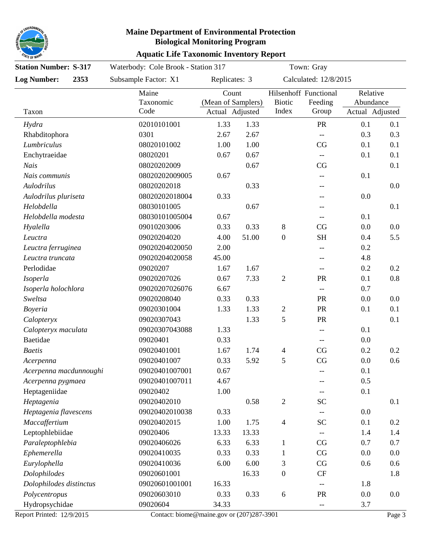

#### **Aquatic Life Taxonomic Inventory Report Maine Department of Environmental Protection Biological Monitoring Program**

| <b>Station Number: S-317</b> |                            | Waterbody: Cole Brook - Station 317 |                                                |       |                        | Town: Gray                                          |                                          |     |
|------------------------------|----------------------------|-------------------------------------|------------------------------------------------|-------|------------------------|-----------------------------------------------------|------------------------------------------|-----|
| <b>Log Number:</b>           | 2353                       | Subsample Factor: X1                | Replicates: 3                                  |       | Calculated: 12/8/2015  |                                                     |                                          |     |
| Taxon                        | Maine<br>Taxonomic<br>Code |                                     | Count<br>(Mean of Samplers)<br>Actual Adjusted |       | <b>Biotic</b><br>Index | Hilsenhoff Functional<br>Feeding<br>Group           | Relative<br>Abundance<br>Actual Adjusted |     |
| Hydra                        |                            | 02010101001                         | 1.33                                           | 1.33  |                        | PR                                                  | 0.1                                      | 0.1 |
| Rhabditophora                |                            | 0301                                | 2.67                                           | 2.67  |                        | $-$                                                 | 0.3                                      | 0.3 |
| Lumbriculus                  |                            | 08020101002                         | 1.00                                           | 1.00  |                        | CG                                                  | 0.1                                      | 0.1 |
| Enchytraeidae                |                            | 08020201                            | 0.67                                           | 0.67  |                        | $\overline{\phantom{a}}$                            | 0.1                                      | 0.1 |
| Nais                         |                            | 08020202009                         |                                                | 0.67  |                        | CG                                                  |                                          | 0.1 |
| Nais communis                |                            | 08020202009005                      | 0.67                                           |       |                        |                                                     | 0.1                                      |     |
| Aulodrilus                   |                            | 08020202018                         |                                                | 0.33  |                        |                                                     |                                          | 0.0 |
| Aulodrilus pluriseta         |                            | 08020202018004                      | 0.33                                           |       |                        |                                                     | 0.0                                      |     |
| Helobdella                   |                            | 08030101005                         |                                                | 0.67  |                        |                                                     |                                          | 0.1 |
| Helobdella modesta           |                            | 08030101005004                      | 0.67                                           |       |                        | --                                                  | 0.1                                      |     |
| Hyalella                     |                            | 09010203006                         | 0.33                                           | 0.33  | 8                      | CG                                                  | 0.0                                      | 0.0 |
| Leuctra                      |                            | 09020204020                         | 4.00                                           | 51.00 | $\boldsymbol{0}$       | <b>SH</b>                                           | 0.4                                      | 5.5 |
| Leuctra ferruginea           |                            | 09020204020050                      | 2.00                                           |       |                        | --                                                  | 0.2                                      |     |
| Leuctra truncata             |                            | 09020204020058                      | 45.00                                          |       |                        | --                                                  | 4.8                                      |     |
| Perlodidae                   |                            | 09020207                            | 1.67                                           | 1.67  |                        | --                                                  | 0.2                                      | 0.2 |
| Isoperla                     |                            | 09020207026                         | 0.67                                           | 7.33  | $\mathfrak{2}$         | PR                                                  | 0.1                                      | 0.8 |
| Isoperla holochlora          |                            | 09020207026076                      | 6.67                                           |       |                        | $\hspace{0.05cm} -\hspace{0.05cm} -\hspace{0.05cm}$ | 0.7                                      |     |
| Sweltsa                      |                            | 09020208040                         | 0.33                                           | 0.33  |                        | PR                                                  | 0.0                                      | 0.0 |
| <b>Boyeria</b>               |                            | 09020301004                         | 1.33                                           | 1.33  | $\overline{c}$         | <b>PR</b>                                           | 0.1                                      | 0.1 |
| Calopteryx                   |                            | 09020307043                         |                                                | 1.33  | 5                      | PR                                                  |                                          | 0.1 |
| Calopteryx maculata          |                            | 09020307043088                      | 1.33                                           |       |                        | $-$                                                 | 0.1                                      |     |
| <b>Baetidae</b>              |                            | 09020401                            | 0.33                                           |       |                        | $\hspace{0.05cm} -\hspace{0.05cm} -\hspace{0.05cm}$ | 0.0                                      |     |
| <b>Baetis</b>                |                            | 09020401001                         | 1.67                                           | 1.74  | 4                      | CG                                                  | 0.2                                      | 0.2 |
| Acerpenna                    |                            | 09020401007                         | 0.33                                           | 5.92  | 5                      | CG                                                  | 0.0                                      | 0.6 |
| Acerpenna macdunnoughi       |                            | 09020401007001                      | 0.67                                           |       |                        |                                                     | 0.1                                      |     |
| Acerpenna pygmaea            |                            | 09020401007011                      | 4.67                                           |       |                        |                                                     | 0.5                                      |     |
| Heptageniidae                |                            | 09020402                            | 1.00                                           |       |                        |                                                     | 0.1                                      |     |
| Heptagenia                   |                            | 09020402010                         |                                                | 0.58  | $\mathbf{2}$           | <b>SC</b>                                           |                                          | 0.1 |
| Heptagenia flavescens        |                            | 09020402010038                      | 0.33                                           |       |                        |                                                     | 0.0                                      |     |
| Maccaffertium                |                            | 09020402015                         | 1.00                                           | 1.75  | 4                      | <b>SC</b>                                           | 0.1                                      | 0.2 |
| Leptophlebiidae              |                            | 09020406                            | 13.33                                          | 13.33 |                        |                                                     | 1.4                                      | 1.4 |
| Paraleptophlebia             |                            | 09020406026                         | 6.33                                           | 6.33  | $\mathbf{1}$           | CG                                                  | 0.7                                      | 0.7 |
| Ephemerella                  |                            | 09020410035                         | 0.33                                           | 0.33  | 1                      | CG                                                  | 0.0                                      | 0.0 |
| Eurylophella                 |                            | 09020410036                         | 6.00                                           | 6.00  | 3                      | CG                                                  | 0.6                                      | 0.6 |
| Dolophilodes                 |                            | 09020601001                         |                                                | 16.33 | $\boldsymbol{0}$       | CF                                                  |                                          | 1.8 |
| Dolophilodes distinctus      |                            | 09020601001001                      | 16.33                                          |       |                        |                                                     | 1.8                                      |     |
| Polycentropus                |                            | 09020603010                         | 0.33                                           | 0.33  | 6                      | ${\rm PR}$                                          | 0.0                                      | 0.0 |
| Hydropsychidae               |                            | 09020604                            | 34.33                                          |       |                        |                                                     | 3.7                                      |     |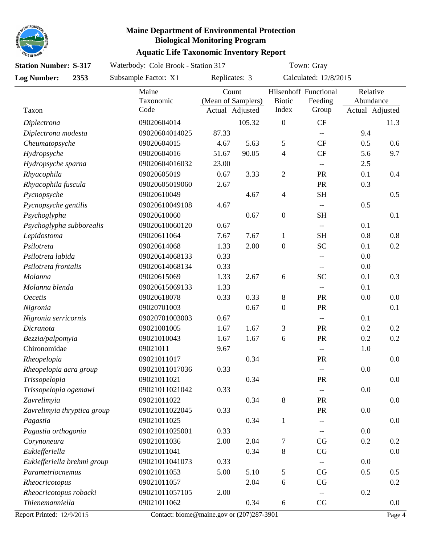

### **Aquatic Life Taxonomic Inventory Report**

| <b>Station Number: S-317</b> |  | Waterbody: Cole Brook - Station 317 |                                                |        | Town: Gray               |                                                     |                                          |      |
|------------------------------|--|-------------------------------------|------------------------------------------------|--------|--------------------------|-----------------------------------------------------|------------------------------------------|------|
| <b>Log Number:</b><br>2353   |  | Subsample Factor: X1                | Replicates: 3                                  |        | Calculated: 12/8/2015    |                                                     |                                          |      |
| Taxon                        |  | Maine<br>Taxonomic<br>Code          | Count<br>(Mean of Samplers)<br>Actual Adjusted |        | <b>Biotic</b><br>Index   | Hilsenhoff Functional<br>Feeding<br>Group           | Relative<br>Abundance<br>Actual Adjusted |      |
| Diplectrona                  |  | 09020604014                         |                                                | 105.32 | $\boldsymbol{0}$         | <b>CF</b>                                           |                                          | 11.3 |
| Diplectrona modesta          |  | 09020604014025                      | 87.33                                          |        |                          |                                                     | 9.4                                      |      |
| Cheumatopsyche               |  | 09020604015                         | 4.67                                           | 5.63   | 5                        | <b>CF</b>                                           | 0.5                                      | 0.6  |
| Hydropsyche                  |  | 09020604016                         | 51.67                                          | 90.05  | $\overline{4}$           | <b>CF</b>                                           | 5.6                                      | 9.7  |
| Hydropsyche sparna           |  | 09020604016032                      | 23.00                                          |        |                          |                                                     | 2.5                                      |      |
| Rhyacophila                  |  | 09020605019                         | 0.67                                           | 3.33   | $\sqrt{2}$               | PR                                                  | 0.1                                      | 0.4  |
| Rhyacophila fuscula          |  | 09020605019060                      | 2.67                                           |        |                          | PR                                                  | 0.3                                      |      |
| Pycnopsyche                  |  | 09020610049                         |                                                | 4.67   | $\overline{\mathcal{L}}$ | <b>SH</b>                                           |                                          | 0.5  |
| Pycnopsyche gentilis         |  | 09020610049108                      | 4.67                                           |        |                          | $\hspace{0.05cm} -\hspace{0.05cm} -\hspace{0.05cm}$ | 0.5                                      |      |
| Psychoglypha                 |  | 09020610060                         |                                                | 0.67   | $\boldsymbol{0}$         | <b>SH</b>                                           |                                          | 0.1  |
| Psychoglypha subborealis     |  | 09020610060120                      | 0.67                                           |        |                          | $-\!$                                               | 0.1                                      |      |
| Lepidostoma                  |  | 09020611064                         | 7.67                                           | 7.67   | $\mathbf{1}$             | <b>SH</b>                                           | 0.8                                      | 0.8  |
| Psilotreta                   |  | 09020614068                         | 1.33                                           | 2.00   | $\boldsymbol{0}$         | <b>SC</b>                                           | 0.1                                      | 0.2  |
| Psilotreta labida            |  | 09020614068133                      | 0.33                                           |        |                          | $-$                                                 | 0.0                                      |      |
| Psilotreta frontalis         |  | 09020614068134                      | 0.33                                           |        |                          | --                                                  | 0.0                                      |      |
| Molanna                      |  | 09020615069                         | 1.33                                           | 2.67   | 6                        | <b>SC</b>                                           | 0.1                                      | 0.3  |
| Molanna blenda               |  | 09020615069133                      | 1.33                                           |        |                          |                                                     | 0.1                                      |      |
| <b>Oecetis</b>               |  | 09020618078                         | 0.33                                           | 0.33   | 8                        | PR                                                  | 0.0                                      | 0.0  |
| Nigronia                     |  | 09020701003                         |                                                | 0.67   | $\boldsymbol{0}$         | PR                                                  |                                          | 0.1  |
| Nigronia serricornis         |  | 09020701003003                      | 0.67                                           |        |                          | $\overline{\phantom{a}}$                            | 0.1                                      |      |
| Dicranota                    |  | 09021001005                         | 1.67                                           | 1.67   | 3                        | PR                                                  | 0.2                                      | 0.2  |
| Bezzia/palpomyia             |  | 09021010043                         | 1.67                                           | 1.67   | 6                        | PR                                                  | 0.2                                      | 0.2  |
| Chironomidae                 |  | 09021011                            | 9.67                                           |        |                          | $-\!$                                               | 1.0                                      |      |
| Rheopelopia                  |  | 09021011017                         |                                                | 0.34   |                          | PR                                                  |                                          | 0.0  |
| Rheopelopia acra group       |  | 09021011017036                      | 0.33                                           |        |                          | --                                                  | $0.0\,$                                  |      |
| Trissopelopia                |  | 09021011021                         |                                                | 0.34   |                          | PR                                                  |                                          | 0.0  |
| Trissopelopia ogemawi        |  | 09021011021042                      | 0.33                                           |        |                          | --                                                  | 0.0                                      |      |
| Zavrelimyia                  |  | 09021011022                         |                                                | 0.34   | $8\,$                    | PR                                                  |                                          | 0.0  |
| Zavrelimyia thryptica group  |  | 09021011022045                      | 0.33                                           |        |                          | PR                                                  | 0.0                                      |      |
| Pagastia                     |  | 09021011025                         |                                                | 0.34   | $\mathbf{1}$             | --                                                  |                                          | 0.0  |
| Pagastia orthogonia          |  | 09021011025001                      | 0.33                                           |        |                          |                                                     | 0.0                                      |      |
| Corynoneura                  |  | 09021011036                         | 2.00                                           | 2.04   | 7                        | CG                                                  | 0.2                                      | 0.2  |
| Eukiefferiella               |  | 09021011041                         |                                                | 0.34   | $8\,$                    | CG                                                  |                                          | 0.0  |
| Eukiefferiella brehmi group  |  | 09021011041073                      | 0.33                                           |        |                          |                                                     | 0.0                                      |      |
| Parametriocnemus             |  | 09021011053                         | 5.00                                           | 5.10   | 5                        | CG                                                  | 0.5                                      | 0.5  |
| Rheocricotopus               |  | 09021011057                         |                                                | 2.04   | 6                        | CG                                                  |                                          | 0.2  |
| Rheocricotopus robacki       |  | 09021011057105                      | 2.00                                           |        |                          | --                                                  | 0.2                                      |      |
| Thienemanniella              |  | 09021011062                         |                                                | 0.34   | 6                        | CG                                                  |                                          | 0.0  |
|                              |  |                                     |                                                |        |                          |                                                     |                                          |      |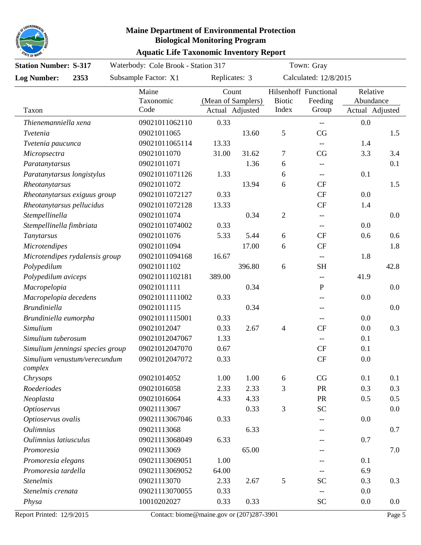

### **Aquatic Life Taxonomic Inventory Report**

| <b>Station Number: S-317</b>     |  | Waterbody: Cole Brook - Station 317 |               |                                                |                       | Town: Gray                                          |                                          |      |  |
|----------------------------------|--|-------------------------------------|---------------|------------------------------------------------|-----------------------|-----------------------------------------------------|------------------------------------------|------|--|
| <b>Log Number:</b><br>2353       |  | Subsample Factor: X1                | Replicates: 3 |                                                | Calculated: 12/8/2015 |                                                     |                                          |      |  |
| Taxon                            |  | Maine<br>Taxonomic<br>Code          |               | Count<br>(Mean of Samplers)<br>Actual Adjusted |                       | Hilsenhoff Functional<br>Feeding<br>Group           | Relative<br>Abundance<br>Actual Adjusted |      |  |
| Thienemanniella xena             |  | 09021011062110                      | 0.33          |                                                |                       | $\hspace{0.05cm} -\hspace{0.05cm} -\hspace{0.05cm}$ | 0.0                                      |      |  |
| Tvetenia                         |  | 09021011065                         |               | 13.60                                          | $\mathfrak{S}$        | CG                                                  |                                          | 1.5  |  |
| Tvetenia paucunca                |  | 09021011065114                      | 13.33         |                                                |                       | $-\!$ $\!-$                                         | 1.4                                      |      |  |
| Micropsectra                     |  | 09021011070                         | 31.00         | 31.62                                          | $\tau$                | CG                                                  | 3.3                                      | 3.4  |  |
| Paratanytarsus                   |  | 09021011071                         |               | 1.36                                           | 6                     |                                                     |                                          | 0.1  |  |
| Paratanytarsus longistylus       |  | 09021011071126                      | 1.33          |                                                | 6                     | $-$                                                 | 0.1                                      |      |  |
| Rheotanytarsus                   |  | 09021011072                         |               | 13.94                                          | 6                     | <b>CF</b>                                           |                                          | 1.5  |  |
| Rheotanytarsus exiguus group     |  | 09021011072127                      | 0.33          |                                                |                       | <b>CF</b>                                           | 0.0                                      |      |  |
| Rheotanytarsus pellucidus        |  | 09021011072128                      | 13.33         |                                                |                       | <b>CF</b>                                           | 1.4                                      |      |  |
| Stempellinella                   |  | 09021011074                         |               | 0.34                                           | $\overline{2}$        | --                                                  |                                          | 0.0  |  |
| Stempellinella fimbriata         |  | 09021011074002                      | 0.33          |                                                |                       | $-\!$                                               | 0.0                                      |      |  |
| Tanytarsus                       |  | 09021011076                         | 5.33          | 5.44                                           | 6                     | <b>CF</b>                                           | 0.6                                      | 0.6  |  |
| <b>Microtendipes</b>             |  | 09021011094                         |               | 17.00                                          | 6                     | <b>CF</b>                                           |                                          | 1.8  |  |
| Microtendipes rydalensis group   |  | 09021011094168                      | 16.67         |                                                |                       | $-$                                                 | 1.8                                      |      |  |
| Polypedilum                      |  | 09021011102                         |               | 396.80                                         | 6                     | <b>SH</b>                                           |                                          | 42.8 |  |
| Polypedilum aviceps              |  | 09021011102181                      | 389.00        |                                                |                       |                                                     | 41.9                                     |      |  |
| Macropelopia                     |  | 09021011111                         |               | 0.34                                           |                       | $\mathbf P$                                         |                                          | 0.0  |  |
| Macropelopia decedens            |  | 09021011111002                      | 0.33          |                                                |                       |                                                     | 0.0                                      |      |  |
| <b>Brundiniella</b>              |  | 09021011115                         |               | 0.34                                           |                       | --                                                  |                                          | 0.0  |  |
| Brundiniella eumorpha            |  | 09021011115001                      | 0.33          |                                                |                       |                                                     | 0.0                                      |      |  |
| Simulium                         |  | 09021012047                         | 0.33          | 2.67                                           | $\overline{4}$        | <b>CF</b>                                           | 0.0                                      | 0.3  |  |
| Simulium tuberosum               |  | 09021012047067                      | 1.33          |                                                |                       | $-$                                                 | 0.1                                      |      |  |
| Simulium jenningsi species group |  | 09021012047070                      | 0.67          |                                                |                       | CF                                                  | 0.1                                      |      |  |
| Simulium venustum/verecundum     |  | 09021012047072                      | 0.33          |                                                |                       | <b>CF</b>                                           | 0.0                                      |      |  |
| complex                          |  |                                     |               |                                                |                       |                                                     |                                          |      |  |
| Chrysops                         |  | 09021014052                         | 1.00          | 1.00                                           | $6\,$                 | CG                                                  | 0.1                                      | 0.1  |  |
| Roederiodes                      |  | 09021016058                         | 2.33          | 2.33                                           | 3                     | PR                                                  | 0.3                                      | 0.3  |  |
| Neoplasta                        |  | 09021016064                         | 4.33          | 4.33                                           |                       | PR                                                  | 0.5                                      | 0.5  |  |
| <b>Optioservus</b>               |  | 09021113067                         |               | 0.33                                           | 3                     | <b>SC</b>                                           |                                          | 0.0  |  |
| Optioservus ovalis               |  | 09021113067046                      | 0.33          |                                                |                       |                                                     | 0.0                                      |      |  |
| <i><b>Oulimnius</b></i>          |  | 09021113068                         |               | 6.33                                           |                       |                                                     |                                          | 0.7  |  |
| Oulimnius latiusculus            |  | 09021113068049                      | 6.33          |                                                |                       |                                                     | 0.7                                      |      |  |
| Promoresia                       |  | 09021113069                         |               | 65.00                                          |                       |                                                     |                                          | 7.0  |  |
| Promoresia elegans               |  | 09021113069051                      | 1.00          |                                                |                       |                                                     | 0.1                                      |      |  |
| Promoresia tardella              |  | 09021113069052                      | 64.00         |                                                |                       |                                                     | 6.9                                      |      |  |
| <b>Stenelmis</b>                 |  | 09021113070                         | 2.33          | 2.67                                           | $\mathfrak{S}$        | <b>SC</b>                                           | 0.3                                      | 0.3  |  |
| Stenelmis crenata                |  | 09021113070055                      | 0.33          |                                                |                       | $-$                                                 | 0.0                                      |      |  |
| Physa                            |  | 10010202027                         | 0.33          | 0.33                                           |                       | <b>SC</b>                                           | 0.0                                      | 0.0  |  |